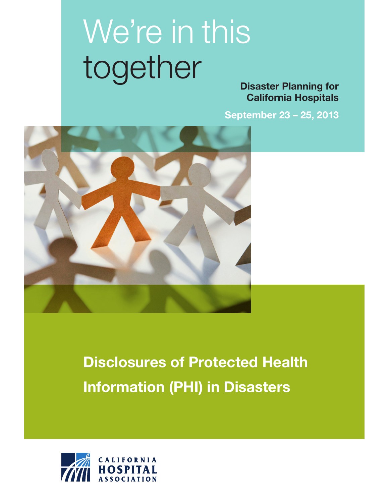# We're in this together

Disaster Planning for California Hospitals

September 23 – 25, 2013



## Disclosures of Protected Health Information (PHI) in Disasters

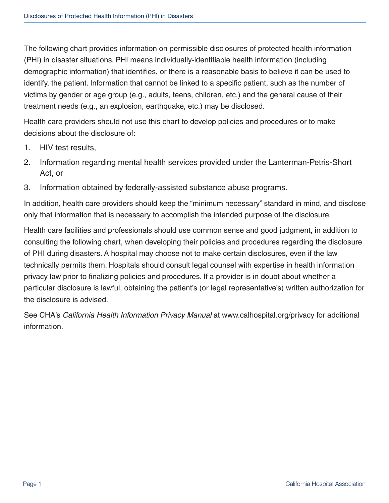The following chart provides information on permissible disclosures of protected health information (PHI) in disaster situations. PHI means individually-identifiable health information (including demographic information) that identifies, or there is a reasonable basis to believe it can be used to identify, the patient. Information that cannot be linked to a specific patient, such as the number of victims by gender or age group (e.g., adults, teens, children, etc.) and the general cause of their treatment needs (e.g., an explosion, earthquake, etc.) may be disclosed.

Health care providers should not use this chart to develop policies and procedures or to make decisions about the disclosure of:

- 1. HIV test results,
- 2. Information regarding mental health services provided under the Lanterman-Petris-Short Act, or
- 3. Information obtained by federally-assisted substance abuse programs.

In addition, health care providers should keep the "minimum necessary" standard in mind, and disclose only that information that is necessary to accomplish the intended purpose of the disclosure.

Health care facilities and professionals should use common sense and good judgment, in addition to consulting the following chart, when developing their policies and procedures regarding the disclosure of PHI during disasters. A hospital may choose not to make certain disclosures, even if the law technically permits them. Hospitals should consult legal counsel with expertise in health information privacy law prior to finalizing policies and procedures. If a provider is in doubt about whether a particular disclosure is lawful, obtaining the patient's (or legal representative's) written authorization for the disclosure is advised.

See CHA's *California Health Information Privacy Manual* at www.calhospital.org/privacy for additional information.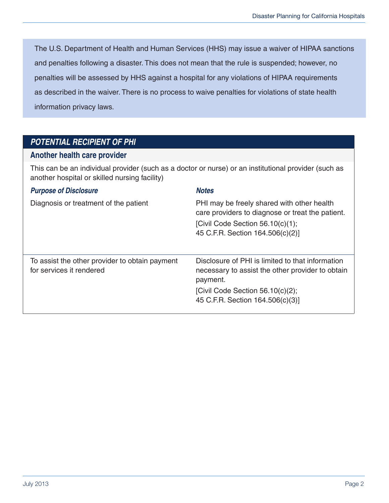The U.S. Department of Health and Human Services (HHS) may issue a waiver of HIPAA sanctions and penalties following a disaster. This does not mean that the rule is suspended; however, no penalties will be assessed by HHS against a hospital for any violations of HIPAA requirements as described in the waiver. There is no process to waive penalties for violations of state health information privacy laws.

#### *POTENTIAL RECIPIENT OF PHI*

#### **Another health care provider**

This can be an individual provider (such as a doctor or nurse) or an institutional provider (such as another hospital or skilled nursing facility)

| <b>Purpose of Disclosure</b>                                               | <b>Notes</b>                                                                                                                                                                                |
|----------------------------------------------------------------------------|---------------------------------------------------------------------------------------------------------------------------------------------------------------------------------------------|
| Diagnosis or treatment of the patient                                      | PHI may be freely shared with other health<br>care providers to diagnose or treat the patient.<br>[Civil Code Section $56.10(c)(1)$ ;<br>45 C.F.R. Section 164.506(c)(2)]                   |
| To assist the other provider to obtain payment<br>for services it rendered | Disclosure of PHI is limited to that information<br>necessary to assist the other provider to obtain<br>payment.<br>[Civil Code Section $56.10(c)(2)$ ;<br>45 C.F.R. Section 164.506(c)(3)] |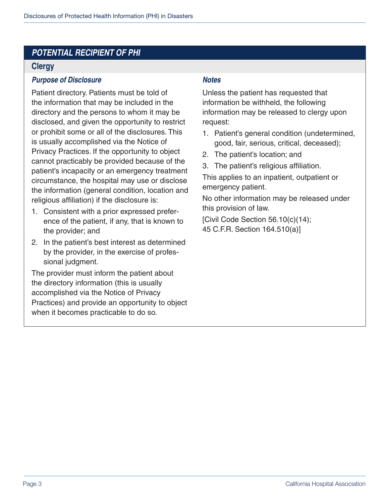#### **Clergy**

#### *Purpose of Disclosure Notes*

Patient directory. Patients must be told of the information that may be included in the directory and the persons to whom it may be disclosed, and given the opportunity to restrict or prohibit some or all of the disclosures. This is usually accomplished via the Notice of Privacy Practices. If the opportunity to object cannot practicably be provided because of the patient's incapacity or an emergency treatment circumstance, the hospital may use or disclose the information (general condition, location and religious affiliation) if the disclosure is:

- 1. Consistent with a prior expressed preference of the patient, if any, that is known to the provider; and
- 2. In the patient's best interest as determined by the provider, in the exercise of professional judgment.

The provider must inform the patient about the directory information (this is usually accomplished via the Notice of Privacy Practices) and provide an opportunity to object when it becomes practicable to do so.

Unless the patient has requested that information be withheld, the following information may be released to clergy upon request:

- 1. Patient's general condition (undetermined, good, fair, serious, critical, deceased);
- 2. The patient's location; and
- 3. The patient's religious affiliation.

This applies to an inpatient, outpatient or emergency patient.

No other information may be released under this provision of law.

[Civil Code Section 56.10(c)(14); 45 C.F.R. Section 164.510(a)]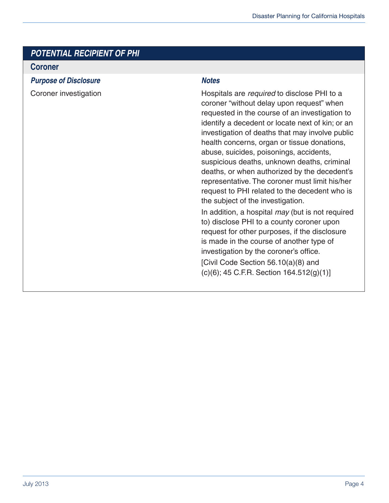#### **Coroner**

*Purpose of Disclosure Notes*

Coroner investigation **EXECO EXECO EXECO EXECO EXECO EXECO** Hospitals are *required* to disclose PHI to a coroner "without delay upon request" when requested in the course of an investigation to identify a decedent or locate next of kin; or an investigation of deaths that may involve public health concerns, organ or tissue donations, abuse, suicides, poisonings, accidents, suspicious deaths, unknown deaths, criminal deaths, or when authorized by the decedent's representative. The coroner must limit his/her request to PHI related to the decedent who is the subject of the investigation.

> In addition, a hospital *may* (but is not required to) disclose PHI to a county coroner upon request for other purposes, if the disclosure is made in the course of another type of investigation by the coroner's office.

[Civil Code Section 56.10(a)(8) and (c)(6); 45 C.F.R. Section 164.512(g)(1)]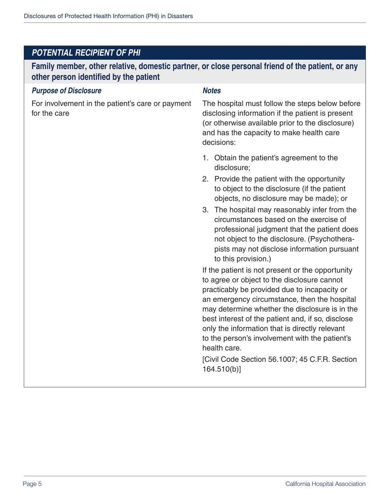**Family member, other relative, domestic partner, or close personal friend of the patient, or any other person identified by the patient**

#### *Purpose of Disclosure Notes*

For involvement in the patient's care or payment for the care

The hospital must follow the steps below before disclosing information if the patient is present (or otherwise available prior to the disclosure) and has the capacity to make health care decisions:

- 1. Obtain the patient's agreement to the disclosure;
- 2. Provide the patient with the opportunity to object to the disclosure (if the patient objects, no disclosure may be made); or
- 3. The hospital may reasonably infer from the circumstances based on the exercise of professional judgment that the patient does not object to the disclosure. (Psychotherapists may not disclose information pursuant to this provision.)

If the patient is not present or the opportunity to agree or object to the disclosure cannot practicably be provided due to incapacity or an emergency circumstance, then the hospital may determine whether the disclosure is in the best interest of the patient and, if so, disclose only the information that is directly relevant to the person's involvement with the patient's health care.

[Civil Code Section 56.1007; 45 C.F.R. Section 164.510(b)]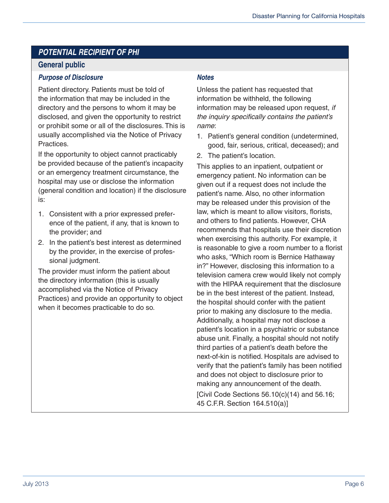#### **General public**

#### *Purpose of Disclosure Notes*

Patient directory. Patients must be told of the information that may be included in the directory and the persons to whom it may be disclosed, and given the opportunity to restrict or prohibit some or all of the disclosures. This is usually accomplished via the Notice of Privacy Practices.

If the opportunity to object cannot practicably be provided because of the patient's incapacity or an emergency treatment circumstance, the hospital may use or disclose the information (general condition and location) if the disclosure is:

- 1. Consistent with a prior expressed preference of the patient, if any, that is known to the provider; and
- 2. In the patient's best interest as determined by the provider, in the exercise of professional judgment.

The provider must inform the patient about the directory information (this is usually accomplished via the Notice of Privacy Practices) and provide an opportunity to object when it becomes practicable to do so.

Unless the patient has requested that information be withheld, the following information may be released upon request, *if*  the inquiry specifically contains the patient's *name*:

- 1. Patient's general condition (undetermined, good, fair, serious, critical, deceased); and
- 2. The patient's location.

This applies to an inpatient, outpatient or emergency patient. No information can be given out if a request does not include the patient's name. Also, no other information may be released under this provision of the law, which is meant to allow visitors, florists, and others to find patients. However, CHA recommends that hospitals use their discretion when exercising this authority. For example, it is reasonable to give a room number to a florist who asks, "Which room is Bernice Hathaway in?" However, disclosing this information to a television camera crew would likely not comply with the HIPAA requirement that the disclosure be in the best interest of the patient. Instead, the hospital should confer with the patient prior to making any disclosure to the media. Additionally, a hospital may not disclose a patient's location in a psychiatric or substance abuse unit. Finally, a hospital should not notify third parties of a patient's death before the next-of-kin is notified. Hospitals are advised to verify that the patient's family has been notified and does not object to disclosure prior to making any announcement of the death. [Civil Code Sections  $56.10(c)(14)$  and  $56.16$ ; 45 C.F.R. Section 164.510(a)]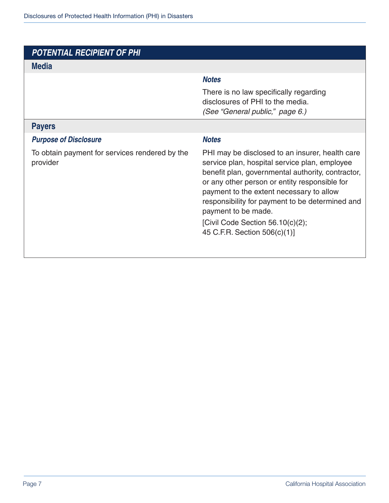#### **Media**

#### *Notes*

There is no law specifically regarding disclosures of PHI to the media. *(See "General public," page 6.)*

#### **Payers**

#### *Purpose of Disclosure Notes*

To obtain payment for services rendered by the provider

PHI may be disclosed to an insurer, health care service plan, hospital service plan, employee benefit plan, governmental authority, contractor, or any other person or entity responsible for payment to the extent necessary to allow responsibility for payment to be determined and payment to be made.

[Civil Code Section 56.10(c)(2); 45 C.F.R. Section 506(c)(1)]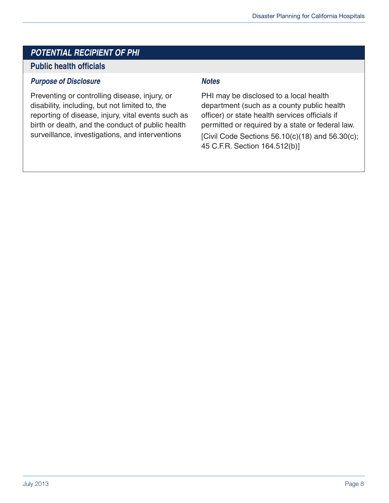#### **Public health officials**

#### *Purpose of Disclosure Notes*

Preventing or controlling disease, injury, or disability, including, but not limited to, the reporting of disease, injury, vital events such as birth or death, and the conduct of public health surveillance, investigations, and interventions

PHI may be disclosed to a local health department (such as a county public health officer) or state health services officials if permitted or required by a state or federal law. [Civil Code Sections  $56.10(c)(18)$  and  $56.30(c)$ ; 45 C.F.R. Section 164.512(b)]